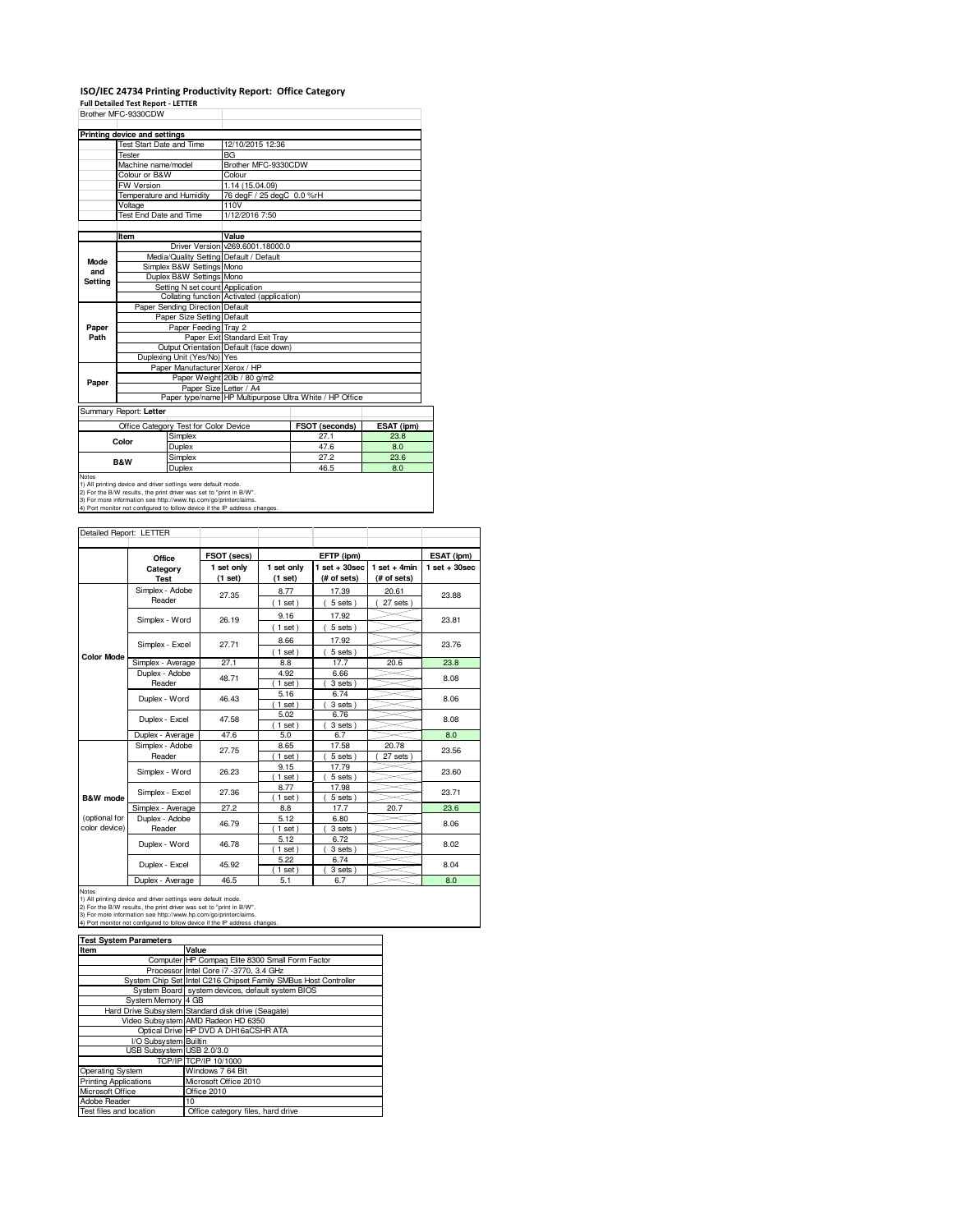# **ISO/IEC 24734 Printing Productivity Report: Office Category Full Detailed Test Report - LETTER** Brother MFC-9330CDW

|                | <b>DIOTIGI INLC-9330CDM</b>                                                   |                                                                                                                                                                  |                                         |                                                         |            |  |
|----------------|-------------------------------------------------------------------------------|------------------------------------------------------------------------------------------------------------------------------------------------------------------|-----------------------------------------|---------------------------------------------------------|------------|--|
|                | Printing device and settings                                                  |                                                                                                                                                                  |                                         |                                                         |            |  |
|                | Test Start Date and Time                                                      |                                                                                                                                                                  | 12/10/2015 12:36                        |                                                         |            |  |
|                | Tester                                                                        |                                                                                                                                                                  | <b>BG</b>                               |                                                         |            |  |
|                | Machine name/model                                                            |                                                                                                                                                                  | Brother MFC-9330CDW                     |                                                         |            |  |
|                | Colour or B&W                                                                 |                                                                                                                                                                  | Colour                                  |                                                         |            |  |
|                | <b>FW Version</b>                                                             |                                                                                                                                                                  | 1.14 (15.04.09)                         |                                                         |            |  |
|                | Temperature and Humidity                                                      |                                                                                                                                                                  | 76 degF / 25 degC 0.0 %rH               |                                                         |            |  |
|                | Voltage                                                                       |                                                                                                                                                                  | 110V                                    |                                                         |            |  |
|                | Test End Date and Time                                                        |                                                                                                                                                                  | 1/12/2016 7:50                          |                                                         |            |  |
|                |                                                                               |                                                                                                                                                                  |                                         |                                                         |            |  |
|                | Item                                                                          |                                                                                                                                                                  | Value                                   |                                                         |            |  |
|                |                                                                               |                                                                                                                                                                  | Driver Version v269.6001.18000.0        |                                                         |            |  |
| Mode           |                                                                               |                                                                                                                                                                  | Media/Quality Setting Default / Default |                                                         |            |  |
| and            |                                                                               | Simplex B&W Settings Mono                                                                                                                                        |                                         |                                                         |            |  |
| <b>Setting</b> |                                                                               | Duplex B&W Settings Mono                                                                                                                                         |                                         |                                                         |            |  |
|                | Setting N set count Application<br>Collating function Activated (application) |                                                                                                                                                                  |                                         |                                                         |            |  |
|                |                                                                               |                                                                                                                                                                  |                                         |                                                         |            |  |
|                | Paper Sending Direction Default<br>Paper Size Setting Default                 |                                                                                                                                                                  |                                         |                                                         |            |  |
|                |                                                                               |                                                                                                                                                                  |                                         |                                                         |            |  |
| Paper          |                                                                               | Paper Feeding Tray 2                                                                                                                                             |                                         |                                                         |            |  |
| Path           |                                                                               |                                                                                                                                                                  | Paper Exit Standard Exit Tray           |                                                         |            |  |
|                |                                                                               |                                                                                                                                                                  | Output Orientation Default (face down)  |                                                         |            |  |
|                |                                                                               | Duplexing Unit (Yes/No) Yes                                                                                                                                      |                                         |                                                         |            |  |
|                |                                                                               | Paper Manufacturer Xerox / HP                                                                                                                                    |                                         |                                                         |            |  |
| Paper          |                                                                               |                                                                                                                                                                  | Paper Weight 20lb / 80 g/m2             |                                                         |            |  |
|                |                                                                               | Paper Size Letter / A4                                                                                                                                           |                                         |                                                         |            |  |
|                |                                                                               |                                                                                                                                                                  |                                         | Paper type/name HP Multipurpose Ultra White / HP Office |            |  |
|                | Summary Report: Letter                                                        |                                                                                                                                                                  |                                         |                                                         |            |  |
|                |                                                                               | Office Category Test for Color Device                                                                                                                            |                                         | FSOT (seconds)                                          | ESAT (ipm) |  |
|                | Color                                                                         | Simplex                                                                                                                                                          |                                         | 27.1                                                    | 23.8       |  |
|                |                                                                               | Duplex                                                                                                                                                           |                                         | 47.6                                                    | 8.0        |  |
|                |                                                                               | Simplex                                                                                                                                                          |                                         | 27.2                                                    | 23.6       |  |
|                | B&W                                                                           | Duplex                                                                                                                                                           |                                         | 46.5                                                    | 8.0        |  |
| Notes          |                                                                               | 1) All printing device and driver settings were default mode.<br>On Franchise Public countries which address the countries of the Public Public Public Countries |                                         |                                                         |            |  |

1) All printing device and driver settings were default mode.<br>2) For the B/W results, the print driver was set to "print in B/W".<br>3) For more information see http://www.hp.com/go/printerclaims.<br>4) Port monitor not configur

Detailed Report: LETTER

|                   | Office                  | FSOT (secs)           | EFTP (ipm)            |                                  |                               | ESAT (ipm)      |  |
|-------------------|-------------------------|-----------------------|-----------------------|----------------------------------|-------------------------------|-----------------|--|
|                   | Category<br><b>Test</b> | 1 set only<br>(1 set) | 1 set only<br>(1 set) | $1$ set $+30$ sec<br>(# of sets) | $1$ set + 4min<br>(# of sets) | $1$ set + 30sec |  |
|                   | Simplex - Adobe         | 27.35                 | 8.77                  | 17.39                            | 20.61                         | 23.88           |  |
|                   | Reader                  |                       | (1 set)               | 5 sets)                          | 27 sets                       |                 |  |
|                   | Simplex - Word          | 26.19                 | 9.16                  | 17.92                            |                               | 23.81           |  |
|                   |                         |                       | $1$ set)              | 5 sets)                          |                               |                 |  |
|                   | Simplex - Excel         | 27.71                 | 8.66                  | 17.92                            |                               | 23.76           |  |
| <b>Color Mode</b> |                         |                       | (1 set)               | 5 sets)                          |                               |                 |  |
|                   | Simplex - Average       | 27.1                  | 8.8                   | 17.7                             | 20.6                          | 23.8            |  |
|                   | Duplex - Adobe          | 48.71                 | 4.92                  | 6.66                             |                               | 8.08<br>8.06    |  |
|                   | Reader                  |                       | $1$ set)              | 3 sets)                          |                               |                 |  |
|                   | Duplex - Word           | 46.43                 | 5.16                  | 6.74                             |                               |                 |  |
|                   |                         |                       | $1$ set)              | 3 sets                           |                               |                 |  |
|                   | Duplex - Excel          | 47.58                 | 5.02                  | 6.76                             |                               | 8.08            |  |
|                   |                         |                       | $1$ set)              | 3 sets)                          |                               |                 |  |
|                   | Duplex - Average        | 47.6                  | 5.0                   | 6.7                              |                               | 8.0             |  |
|                   | Simplex - Adobe         | 27.75                 | 8.65                  | 17.58                            | 20.78                         | 23.56<br>23.60  |  |
|                   | Reader                  |                       | $1$ set               | 5 sets                           | 27 sets                       |                 |  |
|                   | Simplex - Word          | 26.23                 | 9.15                  | 17.79                            |                               |                 |  |
|                   |                         |                       | $1$ set)              | 5 sets                           |                               |                 |  |
|                   | Simplex - Excel         | 27.36                 | 8.77                  | 17.98                            |                               | 23.71           |  |
| B&W mode          |                         |                       | $1$ set)              | 5 sets                           |                               |                 |  |
|                   | Simplex - Average       | 27.2                  | 8.8                   | 17.7                             | 20.7                          | 23.6            |  |
| (optional for     | Duplex - Adobe          | 46.79                 | 5.12                  | 6.80                             |                               | 8.06            |  |
| color device)     | Reader                  |                       | $1$ set)              | 3 sets)                          |                               |                 |  |
|                   | Duplex - Word           | 46.78                 | 5.12                  | 6.72                             |                               | 8.02            |  |
|                   |                         |                       | $1$ set)              | 3 sets)                          |                               |                 |  |
|                   | Duplex - Excel          | 45.92                 | 5.22                  | 6.74                             |                               | 8.04            |  |
|                   |                         |                       | $1$ set               | 3 sets                           |                               |                 |  |
|                   | Duplex - Average        | 46.5                  | 5.1                   | 6.7                              |                               | 8.0             |  |

Notes<br>1) All printing device and driver settings were default mode.<br>2) For the B/W results, the print driver was set to "print in B/W".<br>3) For more information see thtp://www.hp.com/go/printerclaims.<br>4) Port monitor not co

| <b>Test System Parameters</b> |                                                                 |  |  |  |
|-------------------------------|-----------------------------------------------------------------|--|--|--|
| Item                          | Value                                                           |  |  |  |
|                               | Computer HP Compaq Elite 8300 Small Form Factor                 |  |  |  |
|                               | Processor Intel Core i7 -3770, 3.4 GHz                          |  |  |  |
|                               | System Chip Set Intel C216 Chipset Family SMBus Host Controller |  |  |  |
|                               | System Board system devices, default system BIOS                |  |  |  |
| System Memory 4 GB            |                                                                 |  |  |  |
|                               | Hard Drive Subsystem Standard disk drive (Seagate)              |  |  |  |
|                               | Video Subsystem AMD Radeon HD 6350                              |  |  |  |
|                               | Optical Drive HP DVD A DH16aCSHR ATA                            |  |  |  |
| I/O Subsystem Builtin         |                                                                 |  |  |  |
| USB Subsystem USB 2.0/3.0     |                                                                 |  |  |  |
|                               | TCP/IP TCP/IP 10/1000                                           |  |  |  |
| <b>Operating System</b>       | Windows 7 64 Bit                                                |  |  |  |
| <b>Printing Applications</b>  | Microsoft Office 2010                                           |  |  |  |
| Microsoft Office              | Office 2010                                                     |  |  |  |
| Adobe Reader                  | 10                                                              |  |  |  |
| Test files and location       | Office category files, hard drive                               |  |  |  |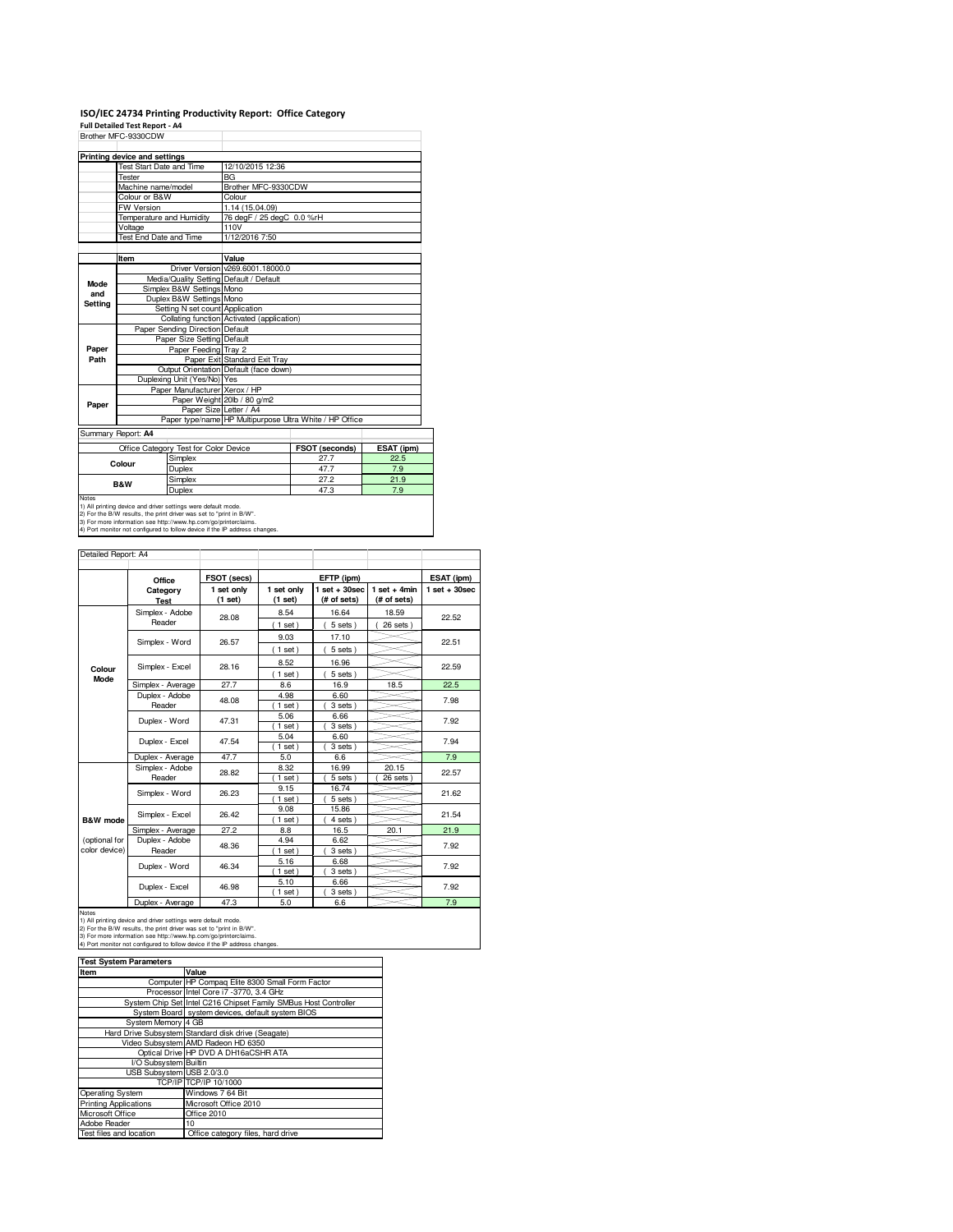# **ISO/IEC 24734 Printing Productivity Report: Office Category Full Detailed Test Report - A4** Brother MFC-9330CDW

|                | Printing device and settings    |                                                                                                                                                                                                                                                                                       |                                            |                                                         |            |  |  |
|----------------|---------------------------------|---------------------------------------------------------------------------------------------------------------------------------------------------------------------------------------------------------------------------------------------------------------------------------------|--------------------------------------------|---------------------------------------------------------|------------|--|--|
|                | <b>Test Start Date and Time</b> |                                                                                                                                                                                                                                                                                       | 12/10/2015 12:36                           |                                                         |            |  |  |
|                | Tester                          |                                                                                                                                                                                                                                                                                       | <b>BG</b>                                  |                                                         |            |  |  |
|                | Machine name/model              |                                                                                                                                                                                                                                                                                       | Brother MFC-9330CDW                        |                                                         |            |  |  |
|                | Colour or B&W                   |                                                                                                                                                                                                                                                                                       | Colour                                     |                                                         |            |  |  |
|                | <b>FW Version</b>               |                                                                                                                                                                                                                                                                                       | 1.14 (15.04.09)                            |                                                         |            |  |  |
|                | Temperature and Humidity        |                                                                                                                                                                                                                                                                                       | 76 degF / 25 degC 0.0 %rH                  |                                                         |            |  |  |
|                | Voltage                         |                                                                                                                                                                                                                                                                                       | 110V                                       |                                                         |            |  |  |
|                | Test End Date and Time          |                                                                                                                                                                                                                                                                                       | 1/12/2016 7:50                             |                                                         |            |  |  |
|                |                                 |                                                                                                                                                                                                                                                                                       |                                            |                                                         |            |  |  |
|                | Item                            |                                                                                                                                                                                                                                                                                       | Value                                      |                                                         |            |  |  |
|                |                                 |                                                                                                                                                                                                                                                                                       | Driver Version v269.6001.18000.0           |                                                         |            |  |  |
| Mode           |                                 |                                                                                                                                                                                                                                                                                       | Media/Quality Setting Default / Default    |                                                         |            |  |  |
| and            |                                 | Simplex B&W Settings Mono                                                                                                                                                                                                                                                             |                                            |                                                         |            |  |  |
| <b>Setting</b> |                                 | Duplex B&W Settings Mono                                                                                                                                                                                                                                                              |                                            |                                                         |            |  |  |
|                |                                 | Setting N set count Application                                                                                                                                                                                                                                                       |                                            |                                                         |            |  |  |
|                |                                 |                                                                                                                                                                                                                                                                                       | Collating function Activated (application) |                                                         |            |  |  |
|                |                                 | Paper Sending Direction Default                                                                                                                                                                                                                                                       |                                            |                                                         |            |  |  |
|                |                                 | Paper Size Setting Default                                                                                                                                                                                                                                                            |                                            |                                                         |            |  |  |
| Paper          |                                 | Paper Feeding Tray 2                                                                                                                                                                                                                                                                  |                                            |                                                         |            |  |  |
| Path           |                                 |                                                                                                                                                                                                                                                                                       | Paper Exit Standard Exit Trav              |                                                         |            |  |  |
|                |                                 |                                                                                                                                                                                                                                                                                       | Output Orientation Default (face down)     |                                                         |            |  |  |
|                |                                 | Duplexing Unit (Yes/No) Yes                                                                                                                                                                                                                                                           |                                            |                                                         |            |  |  |
|                |                                 | Paper Manufacturer Xerox / HP                                                                                                                                                                                                                                                         |                                            |                                                         |            |  |  |
| Paper          |                                 |                                                                                                                                                                                                                                                                                       | Paper Weight 20lb / 80 g/m2                |                                                         |            |  |  |
|                |                                 | Paper Size Letter / A4                                                                                                                                                                                                                                                                |                                            |                                                         |            |  |  |
|                |                                 |                                                                                                                                                                                                                                                                                       |                                            | Paper type/name HP Multipurpose Ultra White / HP Office |            |  |  |
|                | Summary Report: A4              |                                                                                                                                                                                                                                                                                       |                                            |                                                         |            |  |  |
|                |                                 | Office Category Test for Color Device                                                                                                                                                                                                                                                 |                                            | FSOT (seconds)                                          | ESAT (ipm) |  |  |
|                |                                 | Simplex                                                                                                                                                                                                                                                                               |                                            | 27.7                                                    | 22.5       |  |  |
|                | Colour                          | Duplex                                                                                                                                                                                                                                                                                |                                            | 47.7                                                    | 7.9        |  |  |
|                |                                 | Simplex                                                                                                                                                                                                                                                                               |                                            | 27.2                                                    | 21.9       |  |  |
|                | B&W                             | Duplex                                                                                                                                                                                                                                                                                |                                            | 47.3                                                    | 7.9        |  |  |
| Notes          |                                 | 1) All printing device and driver settings were default mode.<br>2) For the B/W results, the print driver was set to "print in B/W".<br>3) For more information see http://www.hp.com/go/printerclaims.<br>4) Port monitor not configured to follow device if the IP address changes. |                                            |                                                         |            |  |  |

| Detailed Report: A4            |                           |                       |                       |                                |                               |                 |
|--------------------------------|---------------------------|-----------------------|-----------------------|--------------------------------|-------------------------------|-----------------|
|                                | Office                    | FSOT (secs)           |                       | EFTP (ipm)                     |                               | ESAT (ipm)      |
|                                | Category<br><b>Test</b>   | 1 set only<br>(1 set) | 1 set only<br>(1 set) | $1$ set + 30sec<br>(# of sets) | $1$ set + 4min<br>(# of sets) | $1$ set + 30sec |
|                                | Simplex - Adobe<br>Reader | 28.08                 | 8.54<br>$1$ set)      | 16.64<br>5 sets)               | 18.59<br>26 sets              | 22.52           |
|                                | Simplex - Word            | 26.57                 | 9.03<br>$1$ set)      | 17.10<br>5 sets                |                               | 22.51           |
| Colour                         | Simplex - Excel           | 28.16                 | 8.52<br>$1$ set $)$   | 16.96<br>5 sets)               |                               | 22.59           |
| Mode                           | Simplex - Average         | 27.7                  | 8.6                   | 16.9                           | 18.5                          | 22.5            |
|                                | Duplex - Adobe<br>Reader  | 48.08                 | 4.98<br>$1$ set       | 6.60<br>3 sets                 |                               | 7.98            |
|                                | Duplex - Word             | 47.31                 | 5.06<br>$1$ set)      | 6.66<br>3 sets)                |                               | 7.92            |
|                                | Duplex - Excel            | 47.54                 | 5.04<br>$1$ set)      | 6.60<br>3 sets)                |                               | 7.94            |
|                                | Duplex - Average          | 47.7                  | 5.0                   | 6.6                            |                               | 7.9             |
|                                | Simplex - Adobe<br>Reader | 28.82                 | 8.32<br>$1$ set)      | 16.99<br>5 sets                | 20.15<br>26 sets              | 22.57           |
|                                | Simplex - Word            | 26.23                 | 9.15<br>$1$ set)      | 16.74<br>5 sets)               |                               | 21.62           |
| B&W mode                       | Simplex - Excel           | 26.42                 | 9.08<br>$1$ set)      | 15.86<br>4 sets                |                               | 21.54           |
|                                | Simplex - Average         | 27.2                  | 8.8                   | 16.5                           | 20.1                          | 21.9            |
| (optional for<br>color device) | Duplex - Adobe<br>Reader  | 48.36                 | 4.94<br>1 set         | 6.62<br>3 sets)                |                               | 7.92            |
|                                | Duplex - Word             | 46.34                 | 5.16<br>$1$ set)      | 6.68<br>3 sets)                |                               | 7.92            |
|                                | Duplex - Excel            | 46.98                 | 5.10<br>$1$ set)      | 6.66<br>3 sets)                |                               | 7.92            |
|                                | Dupley Average            | 170                   | $\sim$                | $\sim$                         |                               | 70              |

Notes<br>
Notes<br>
1) All princing device and driver settings were default mode.<br>
2) For the B/W results, the print driver was set to "print in B/W".<br>
3) For the B/W results, the print driver was set to "print in B/W".<br>
4) Por

| <b>Test System Parameters</b> |                                                                 |  |  |  |
|-------------------------------|-----------------------------------------------------------------|--|--|--|
| Item                          | Value                                                           |  |  |  |
|                               | Computer HP Compag Elite 8300 Small Form Factor                 |  |  |  |
|                               | Processor Intel Core i7 -3770, 3.4 GHz                          |  |  |  |
|                               | System Chip Set Intel C216 Chipset Family SMBus Host Controller |  |  |  |
|                               | System Board system devices, default system BIOS                |  |  |  |
| System Memory 4 GB            |                                                                 |  |  |  |
|                               | Hard Drive Subsystem Standard disk drive (Seagate)              |  |  |  |
|                               | Video Subsystem AMD Radeon HD 6350                              |  |  |  |
|                               | Optical Drive HP DVD A DH16aCSHR ATA                            |  |  |  |
| I/O Subsystem Builtin         |                                                                 |  |  |  |
| USB Subsystem USB 2.0/3.0     |                                                                 |  |  |  |
|                               | TCP/IPITCP/IP 10/1000                                           |  |  |  |
| Operating System              | Windows 7 64 Bit                                                |  |  |  |
| <b>Printing Applications</b>  | Microsoft Office 2010                                           |  |  |  |
| Microsoft Office              | Office 2010                                                     |  |  |  |
| Adobe Reader                  | 10                                                              |  |  |  |
| Test files and location       | Office category files, hard drive                               |  |  |  |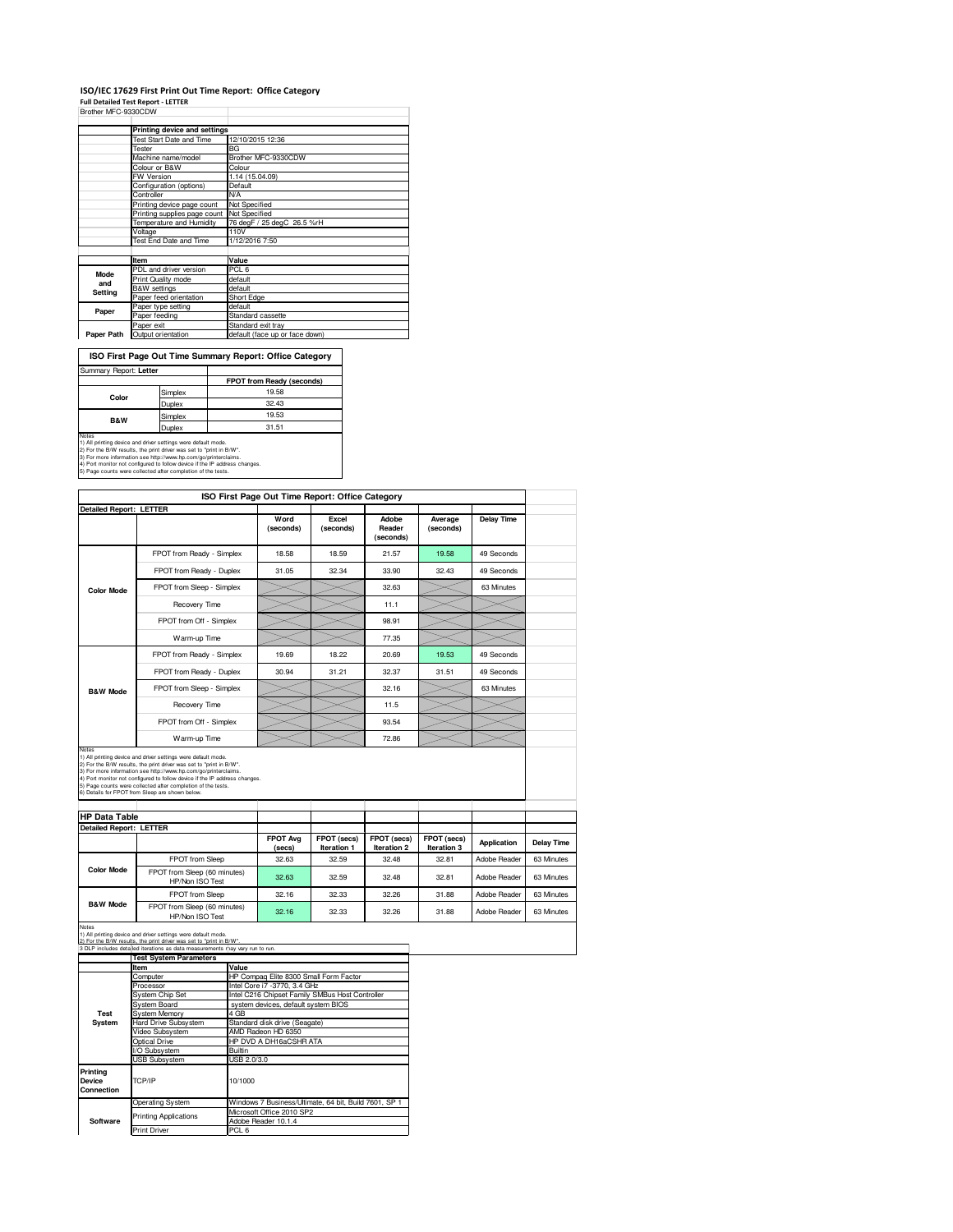#### **ISO/IEC 17629 First Print Out Time Report: Office Category** T

**Full Detailed Test Report - LETTER** Brother MFC-9330CDW

|             | Printing device and settings |                                |
|-------------|------------------------------|--------------------------------|
|             | Test Start Date and Time     | 12/10/2015 12:36               |
|             | Tester                       | <b>BG</b>                      |
|             | Machine name/model           | Brother MFC-9330CDW            |
|             | Colour or B&W                | Colour                         |
|             | <b>FW Version</b>            | 1.14 (15.04.09)                |
|             | Configuration (options)      | Default                        |
|             | Controller                   | <b>N/A</b>                     |
|             | Printing device page count   | Not Specified                  |
|             | Printing supplies page count | <b>Not Specified</b>           |
|             | Temperature and Humidity     | 76 degF / 25 degC 26.5 %rH     |
|             | Voltage                      | 110V                           |
|             | Test End Date and Time       | 1/12/2016 7:50                 |
|             |                              |                                |
|             | <b>Item</b>                  | Value                          |
| <b>Mode</b> | PDL and driver version       | PCL <sub>6</sub>               |
| and         | Print Quality mode           | default                        |
| Setting     | <b>B&amp;W</b> settings      | default                        |
|             | Paper feed orientation       | Short Edge                     |
| Paper       | Paper type setting           | default                        |
|             | Paper feeding                | Standard cassette              |
|             | Paper exit                   | Standard exit tray             |
| Paper Path  | Output orientation           | default (face up or face down) |

T

**FPOT from Ready (seconds)** Simplex 19.58<br>Duplex 32.43 Duplex 32.43<br>Simplex 19.53 Simplex 19.53 Duplex 31.51 **ISO First Page Out Time Summary Report: Office Category** Summary Report: **Letter Color B&W**

Notes<br>1) All printing device and driver settings were default mode.<br>2) For the EW results, the print driver was set to "print in B/W".<br>3) For more information see http://www.hp.com/go/printerclaims.<br>4) Port monitor not con

| ISO First Page Out Time Report: Office Category                                                                                                                                                                                                |                                                 |             |                                     |                                                 |                              |                            |              |            |
|------------------------------------------------------------------------------------------------------------------------------------------------------------------------------------------------------------------------------------------------|-------------------------------------------------|-------------|-------------------------------------|-------------------------------------------------|------------------------------|----------------------------|--------------|------------|
| <b>Detailed Report: LETTER</b>                                                                                                                                                                                                                 |                                                 |             |                                     |                                                 |                              |                            |              |            |
|                                                                                                                                                                                                                                                |                                                 |             | Word<br>(seconds)                   | Excel<br>(seconds)                              | Adobe<br>Reader<br>(seconds) | Average<br>(seconds)       | Delay Time   |            |
|                                                                                                                                                                                                                                                | FPOT from Ready - Simplex                       |             | 18.58                               | 18.59                                           | 21.57                        | 19.58                      | 49 Seconds   |            |
|                                                                                                                                                                                                                                                | FPOT from Ready - Duplex                        |             | 31.05                               | 32.34                                           | 33.90                        | 32.43                      | 49 Seconds   |            |
| <b>Color Mode</b>                                                                                                                                                                                                                              | FPOT from Sleep - Simplex                       |             |                                     |                                                 | 32.63                        |                            | 63 Minutes   |            |
|                                                                                                                                                                                                                                                | Recovery Time                                   |             |                                     |                                                 | 11.1                         |                            |              |            |
|                                                                                                                                                                                                                                                | FPOT from Off - Simplex                         |             |                                     |                                                 | 98.91                        |                            |              |            |
|                                                                                                                                                                                                                                                | Warm-up Time                                    |             |                                     |                                                 | 77.35                        |                            |              |            |
|                                                                                                                                                                                                                                                | FPOT from Ready - Simplex                       |             | 19.69                               | 18.22                                           | 20.69                        | 19.53                      | 49 Seconds   |            |
|                                                                                                                                                                                                                                                | FPOT from Ready - Duplex                        |             | 30.94                               | 31.21                                           | 32.37                        | 31.51                      | 49 Seconds   |            |
| <b>B&amp;W Mode</b>                                                                                                                                                                                                                            | FPOT from Sleep - Simplex                       |             |                                     |                                                 | 32.16                        |                            | 63 Minutes   |            |
|                                                                                                                                                                                                                                                | Recovery Time                                   |             |                                     |                                                 | 11.5                         |                            |              |            |
|                                                                                                                                                                                                                                                | FPOT from Off - Simplex                         |             |                                     |                                                 | 93.54                        |                            |              |            |
|                                                                                                                                                                                                                                                | Warm-up Time                                    |             |                                     |                                                 | 72.86                        |                            |              |            |
| <b>HP Data Table</b>                                                                                                                                                                                                                           | 6) Details for FPOT from Sleep are shown below. |             |                                     |                                                 |                              |                            |              |            |
| <b>Detailed Report: LETTER</b>                                                                                                                                                                                                                 |                                                 |             |                                     |                                                 |                              |                            |              |            |
|                                                                                                                                                                                                                                                |                                                 |             | <b>FPOT Avg</b><br>(secs)           | FPOT (secs)<br>Iteration 1                      | FPOT (secs)<br>Iteration 2   | FPOT (secs)<br>Iteration 3 | Application  | Delay Time |
|                                                                                                                                                                                                                                                | FPOT from Sleep                                 |             | 32.63                               | 32.59                                           | 32.48                        | 32.81                      | Adobe Reader | 63 Minutes |
| <b>Color Mode</b>                                                                                                                                                                                                                              | FPOT from Sleep (60 minutes)<br>HP/Non ISO Test |             | 32.63                               | 32.59                                           | 32.48                        | 32.81                      | Adobe Reader | 63 Minutes |
|                                                                                                                                                                                                                                                | FPOT from Sleep                                 |             | 32.16                               | 32.33                                           | 32.26                        | 31.88                      | Adobe Reader |            |
| <b>B&amp;W Mode</b>                                                                                                                                                                                                                            | FPOT from Sleep (60 minutes)                    |             |                                     |                                                 |                              |                            |              | 63 Minutes |
| HP/Non ISO Test<br>Notes<br>1) All printing device and driver settings were default mode.<br>1) For the R/W results the print driver was set to "print in R/W"<br>3 DLP includes deta led iterations as data measurements may vary run to run. |                                                 |             |                                     |                                                 |                              |                            | Adobe Reader | 63 Minutes |
|                                                                                                                                                                                                                                                | <b>Test System Parameters</b>                   |             | 32.16                               | 32.33                                           | 32.26                        | 31.88                      |              |            |
|                                                                                                                                                                                                                                                | ltem                                            | Value       |                                     |                                                 |                              |                            |              |            |
|                                                                                                                                                                                                                                                | Computer                                        |             |                                     | HP Compaq Elite 8300 Small Form Factor          |                              |                            |              |            |
|                                                                                                                                                                                                                                                | Processor                                       |             | Intel Core i7 - 3770, 3.4 GHz       |                                                 |                              |                            |              |            |
|                                                                                                                                                                                                                                                | System Chip Set                                 |             |                                     | Intel C216 Chipset Family SMBus Host Controller |                              |                            |              |            |
| Test                                                                                                                                                                                                                                           | <b>System Board</b><br>System Memory            | 4 GB        | system devices, default system BIOS |                                                 |                              |                            |              |            |
| System                                                                                                                                                                                                                                         | Hard Drive Subsystem                            |             | Standard disk drive (Seagate)       |                                                 |                              |                            |              |            |
|                                                                                                                                                                                                                                                | Video Subsystem                                 |             | AMD Radeon HD 6350                  |                                                 |                              |                            |              |            |
|                                                                                                                                                                                                                                                | <b>Optical Drive</b>                            |             | HP DVD A DH16aCSHR ATA              |                                                 |                              |                            |              |            |
|                                                                                                                                                                                                                                                | I/O Subsystem                                   | Builtin     |                                     |                                                 |                              |                            |              |            |
|                                                                                                                                                                                                                                                | <b>USB Subsystem</b>                            | USB 2.0/3.0 |                                     |                                                 |                              |                            |              |            |
| Printing                                                                                                                                                                                                                                       |                                                 |             |                                     |                                                 |                              |                            |              |            |
| Device<br>Connection                                                                                                                                                                                                                           | TCP/IP                                          | 10/1000     |                                     |                                                 |                              |                            |              |            |

Operating System Windows 7 Business/Ultimate, 64 bit, Build 7601, SP 1 Microsoft Office 2010 SP2 dobe Reader 10.1.4

Print Driver PCL 6

Printing Applications

**Software**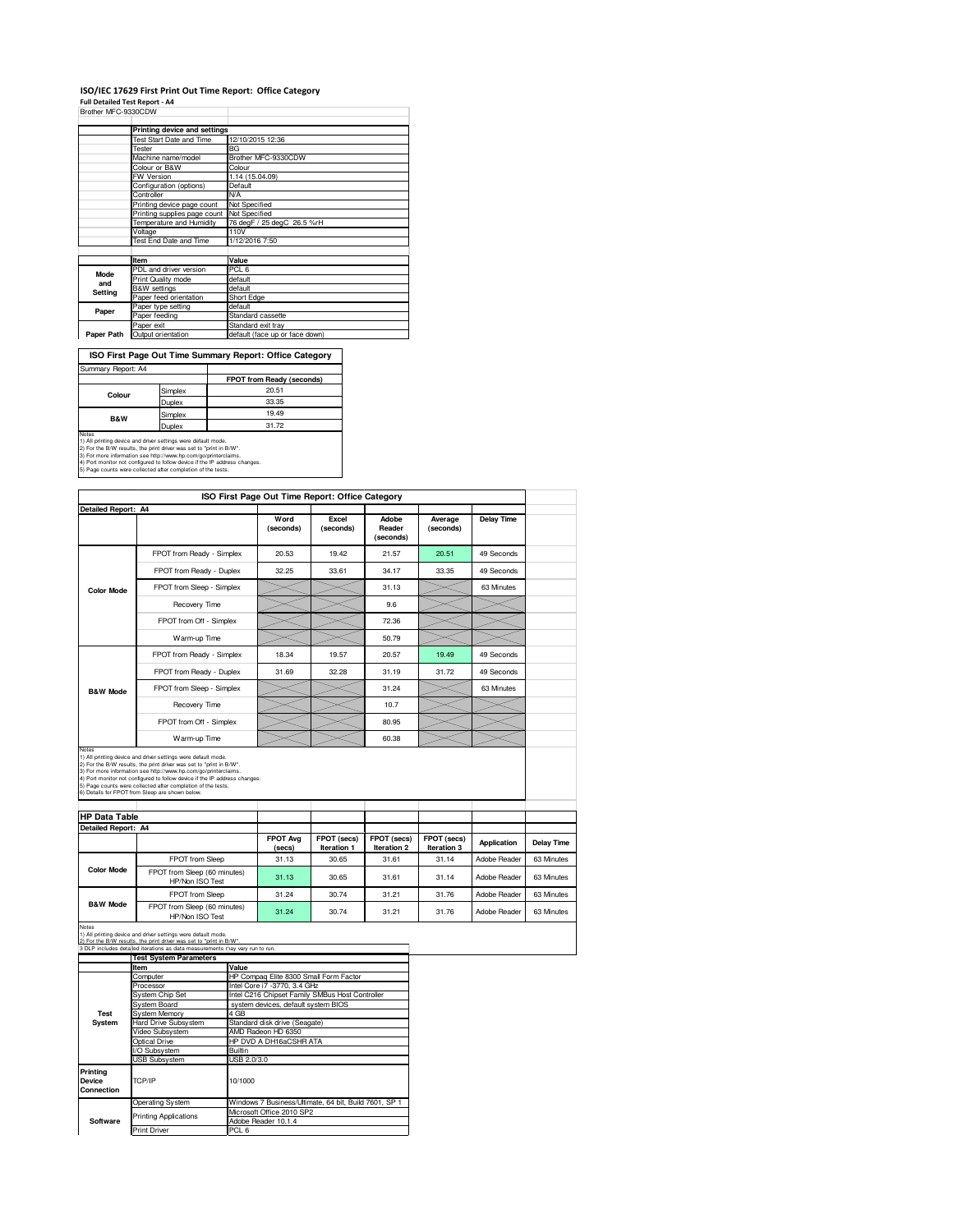## **ISO/IEC 17629 First Print Out Time Report: Office Category Full Detailed Test Report - A4** Brother MFC-9330CDW

| Brother MFC-9330CDV |  |  |  |
|---------------------|--|--|--|
|                     |  |  |  |

|             | Printing device and settings    |                                |  |  |  |
|-------------|---------------------------------|--------------------------------|--|--|--|
|             | <b>Test Start Date and Time</b> | 12/10/2015 12:36               |  |  |  |
|             | Tester                          | BG                             |  |  |  |
|             | Machine name/model              | Brother MFC-9330CDW            |  |  |  |
|             | Colour or B&W                   | Colour                         |  |  |  |
|             | <b>FW Version</b>               | 1.14 (15.04.09)                |  |  |  |
|             | Configuration (options)         | Default                        |  |  |  |
|             | Controller                      | <b>N/A</b>                     |  |  |  |
|             | Printing device page count      | Not Specified                  |  |  |  |
|             | Printing supplies page count    | Not Specified                  |  |  |  |
|             | Temperature and Humidity        | 76 degF / 25 degC 26.5 %rH     |  |  |  |
|             | Voltage                         | 110V                           |  |  |  |
|             | Test End Date and Time          | 1/12/2016 7:50                 |  |  |  |
|             |                                 |                                |  |  |  |
|             | Item                            | Value                          |  |  |  |
| <b>Mode</b> | PDL and driver version          | PCL <sub>6</sub>               |  |  |  |
| and         | Print Quality mode              | default                        |  |  |  |
| Setting     | <b>B&amp;W</b> settings         | default                        |  |  |  |
|             | Paper feed orientation          | Short Edge                     |  |  |  |
| Paper       | Paper type setting              | default                        |  |  |  |
|             | Paper feeding                   | Standard cassette              |  |  |  |
|             | Paper exit                      | Standard exit tray             |  |  |  |
| Paper Path  | Output orientation              | default (face up or face down) |  |  |  |

T

**FPOT from Ready (seconds) ISO First Page Out Time Summary Report: Office Category** Summary Report: A **Colour**

Simplex 20.51<br>Duplex 33.35 Example 33.35<br>Simplex 33.35 Simplex 19.49<br>Duplex 31.72 Notes<br>
Notes<br>
1) All printing device and driver settings were default mode.<br>
2) For the BM results, the print driver was set to "print in BM".<br>
3) For more information see http://www.hp.com/go/printenclaims.<br>
4) Port morio **B&W**

| ISO First Page Out Time Report: Office Category |                                                                                                                                                   |             |                                                                                 |                            |                              |                            |              |                   |
|-------------------------------------------------|---------------------------------------------------------------------------------------------------------------------------------------------------|-------------|---------------------------------------------------------------------------------|----------------------------|------------------------------|----------------------------|--------------|-------------------|
| <b>Detailed Report: A4</b>                      |                                                                                                                                                   |             |                                                                                 |                            |                              |                            |              |                   |
|                                                 |                                                                                                                                                   |             | Word<br>(seconds)                                                               | Excel<br>(seconds)         | Adobe<br>Reader<br>(seconds) | Average<br>(seconds)       | Delay Time   |                   |
|                                                 | FPOT from Ready - Simplex                                                                                                                         |             | 20.53                                                                           | 19.42                      | 21.57                        | 20.51                      | 49 Seconds   |                   |
|                                                 | FPOT from Ready - Duplex                                                                                                                          |             | 32.25                                                                           | 33.61                      | 34.17                        | 33.35                      | 49 Seconds   |                   |
| <b>Color Mode</b>                               | FPOT from Sleep - Simplex                                                                                                                         |             |                                                                                 |                            | 31.13                        |                            | 63 Minutes   |                   |
|                                                 | Recovery Time                                                                                                                                     |             |                                                                                 |                            | 9.6                          |                            |              |                   |
|                                                 | FPOT from Off - Simplex                                                                                                                           |             |                                                                                 |                            | 72.36                        |                            |              |                   |
|                                                 | Warm-up Time                                                                                                                                      |             |                                                                                 |                            | 50.79                        |                            |              |                   |
|                                                 | FPOT from Ready - Simplex                                                                                                                         |             | 18.34                                                                           | 19.57                      | 20.57                        | 19.49                      | 49 Seconds   |                   |
|                                                 | FPOT from Ready - Duplex                                                                                                                          |             | 31.69                                                                           | 32.28                      | 31.19                        | 31.72                      | 49 Seconds   |                   |
| <b>B&amp;W Mode</b>                             | FPOT from Sleep - Simplex                                                                                                                         |             |                                                                                 |                            | 31.24                        |                            | 63 Minutes   |                   |
|                                                 | Recovery Time                                                                                                                                     |             |                                                                                 |                            | 10.7                         |                            |              |                   |
|                                                 | FPOT from Off - Simplex                                                                                                                           |             |                                                                                 |                            | 80.95                        |                            |              |                   |
|                                                 | Warm-up Time                                                                                                                                      |             |                                                                                 |                            | 60.38                        |                            |              |                   |
| <b>HP Data Table</b>                            | 6) Details for FPOT from Sleep are shown below.                                                                                                   |             |                                                                                 |                            |                              |                            |              |                   |
| Detailed Report: A4                             |                                                                                                                                                   |             |                                                                                 |                            |                              |                            |              |                   |
|                                                 |                                                                                                                                                   |             | <b>FPOT Avg</b><br>(secs)                                                       | FPOT (secs)<br>Iteration 1 | FPOT (secs)<br>Iteration 2   | FPOT (secs)<br>Iteration 3 | Application  | <b>Delay Time</b> |
|                                                 | FPOT from Sleep                                                                                                                                   |             | 31.13                                                                           | 30.65                      | 31.61                        | 31.14                      | Adobe Reader | 63 Minutes        |
| <b>Color Mode</b>                               | FPOT from Sleep (60 minutes)<br>HP/Non ISO Test                                                                                                   |             | 31.13                                                                           | 30.65                      | 31.61                        | 31.14                      | Adobe Reader | 63 Minutes        |
|                                                 | FPOT from Sleep                                                                                                                                   |             | 31.24                                                                           | 30.74                      | 31.21                        | 31.76                      | Adobe Reader | 63 Minutes        |
| <b>B&amp;W Mode</b>                             | FPOT from Sleep (60 minutes)<br>HP/Non ISO Test                                                                                                   |             | 31.24                                                                           | 30.74                      | 31.21                        | 31.76                      | Adobe Reader | 63 Minutes        |
| Notes                                           | 1) All printing device and driver settings were default mode.                                                                                     |             |                                                                                 |                            |                              |                            |              |                   |
|                                                 | 2) For the R/W results the print driver was set to "print in R/W"<br>3 DLP includes detalled iterations as data measurements may vary run to run. |             |                                                                                 |                            |                              |                            |              |                   |
|                                                 | <b>Test System Parameters</b>                                                                                                                     |             |                                                                                 |                            |                              |                            |              |                   |
|                                                 | ltem                                                                                                                                              | Value       |                                                                                 |                            |                              |                            |              |                   |
|                                                 | Computer                                                                                                                                          |             | HP Compaq Elite 8300 Small Form Factor                                          |                            |                              |                            |              |                   |
|                                                 |                                                                                                                                                   |             | Intel Core i7 -3770, 3.4 GHz<br>Intel C216 Chipset Family SMBus Host Controller |                            |                              |                            |              |                   |
|                                                 | Processor                                                                                                                                         |             |                                                                                 |                            |                              |                            |              |                   |
|                                                 | System Chip Set                                                                                                                                   |             |                                                                                 |                            |                              |                            |              |                   |
| Test                                            | <b>System Board</b><br>System Memory                                                                                                              | 4 GB        | system devices, default system BIOS                                             |                            |                              |                            |              |                   |
| System                                          | Hard Drive Subsystem                                                                                                                              |             | Standard disk drive (Seagate)                                                   |                            |                              |                            |              |                   |
|                                                 | Video Subsystem                                                                                                                                   |             | AMD Radeon HD 6350                                                              |                            |                              |                            |              |                   |
|                                                 | <b>Optical Drive</b>                                                                                                                              |             | HP DVD A DH16aCSHR ATA                                                          |                            |                              |                            |              |                   |
|                                                 | /O Subsystem                                                                                                                                      | Builtin     |                                                                                 |                            |                              |                            |              |                   |
|                                                 | <b>JSB Subsystem</b>                                                                                                                              | USB 2.0/3.0 |                                                                                 |                            |                              |                            |              |                   |

Operating System Windows 7 Business/Ultimate, 64 bit, Build 7601, SP 1 Microsoft Office 2010 SP2 dobe Reade

Print Driver **PCL 6** 

Printing Applications

**Software**

**Connection**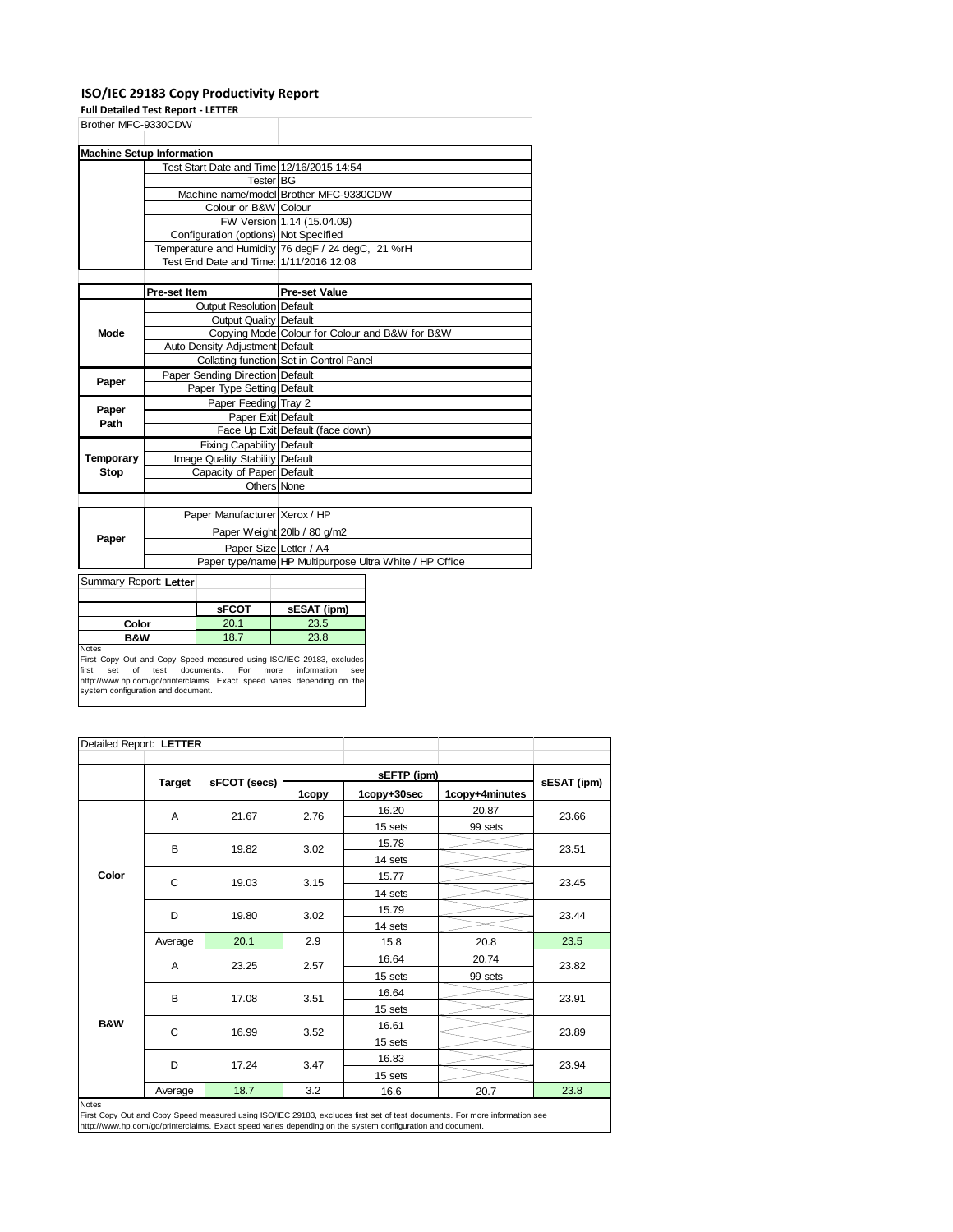#### **ISO/IEC 29183 Copy Productivity Report**

**Full Detailed Test Report ‐ LETTER**

|                     | <b>Full Detailed Test Report - LETTER</b> |                                                    |
|---------------------|-------------------------------------------|----------------------------------------------------|
| Brother MFC-9330CDW |                                           |                                                    |
|                     |                                           |                                                    |
|                     | <b>Machine Setup Information</b>          |                                                    |
|                     | Test Start Date and Time 12/16/2015 14:54 |                                                    |
|                     | <b>Tester BG</b>                          |                                                    |
|                     |                                           | Machine name/model Brother MFC-9330CDW             |
|                     | Colour or B&W Colour                      |                                                    |
|                     |                                           | FW Version 1.14 (15.04.09)                         |
|                     | Configuration (options) Not Specified     |                                                    |
|                     |                                           | Temperature and Humidity 76 degF / 24 degC, 21 %rH |
|                     | Test End Date and Time: 1/11/2016 12:08   |                                                    |
|                     |                                           |                                                    |
|                     | <b>Pre-set Item</b>                       | <b>Pre-set Value</b>                               |
|                     | <b>Output Resolution Default</b>          |                                                    |
|                     | <b>Output Quality Default</b>             |                                                    |
| Mode                |                                           | Copying Mode Colour for Colour and B&W for B&W     |
|                     | Auto Density Adjustment Default           |                                                    |
|                     |                                           | Collating function Set in Control Panel            |
| Paper               | Paper Sending Direction Default           |                                                    |
|                     | Paper Type Setting Default                |                                                    |
| Paper               | Paper Feeding Tray 2                      |                                                    |
| Path                | Paper Exit Default                        |                                                    |
|                     |                                           | Face Up Exit Default (face down)                   |
|                     | <b>Fixing Capability Default</b>          |                                                    |
| Temporary           | Image Quality Stability Default           |                                                    |
| Stop                | Capacity of Paper Default                 |                                                    |
|                     | <b>Others None</b>                        |                                                    |
|                     |                                           |                                                    |
|                     | Paper Manufacturer Xerox / HP             |                                                    |
|                     |                                           | Paper Weight 20lb / 80 g/m2                        |
| Paper               |                                           |                                                    |

Paper Size Letter / A4 Paper type/name HP Multipurpose Ultra White / HP Office

Summary Report: **Letter**

|                | <b>SFCOT</b> | sESAT (ipm) |
|----------------|--------------|-------------|
| Color          | 20.1         | 23.5        |
| <b>B&amp;W</b> | 187          | 23.8        |
| <b>Notes</b>   |              |             |

Notes<br>First Copy Out and Copy Speed measured using ISO/IEC 29183, excludes<br>first set of test documents. For more information see<br>http://www.hp.com/go/printerclaims. Exact speed varies depending on the<br>system configuration

| Detailed Report: LETTER |               |              |       |             |                |       |
|-------------------------|---------------|--------------|-------|-------------|----------------|-------|
|                         |               |              |       |             |                |       |
|                         | <b>Target</b> | sFCOT (secs) |       | sESAT (ipm) |                |       |
|                         |               |              | 1copy | 1copy+30sec | 1copy+4minutes |       |
|                         | A             | 21.67        | 2.76  | 16.20       | 20.87          | 23.66 |
|                         |               |              |       | 15 sets     | 99 sets        |       |
|                         | B             | 19.82        | 3.02  | 15.78       |                | 23.51 |
|                         |               |              |       | 14 sets     |                |       |
| Color                   | C             | 19.03        | 3.15  | 15.77       |                | 23.45 |
|                         |               |              |       | 14 sets     |                |       |
|                         | D             | 19.80        | 3.02  | 15.79       |                | 23.44 |
|                         |               |              |       | 14 sets     |                |       |
|                         | Average       | 20.1         | 2.9   | 15.8        | 20.8           | 23.5  |
|                         | Α             | 23.25        | 2.57  | 16.64       | 20.74          | 23.82 |
|                         |               |              |       | 15 sets     | 99 sets        |       |
|                         | B             | 17.08        | 3.51  | 16.64       |                | 23.91 |
|                         |               |              |       | 15 sets     |                |       |
| <b>B&amp;W</b>          | C             | 16.99        | 3.52  | 16.61       |                | 23.89 |
|                         |               |              |       | 15 sets     |                |       |
|                         | D             | 17.24        | 3.47  | 16.83       |                | 23.94 |
|                         |               |              |       | 15 sets     |                |       |
|                         | Average       | 18.7         | 3.2   | 16.6        | 20.7           | 23.8  |

Notes<br>First Copy Out and Copy Speed measured using ISO/IEC 29183, excludes first set of test documents. For more information see<br>http://www.hp.com/go/printerclaims. Exact speed varies depending on the system configuration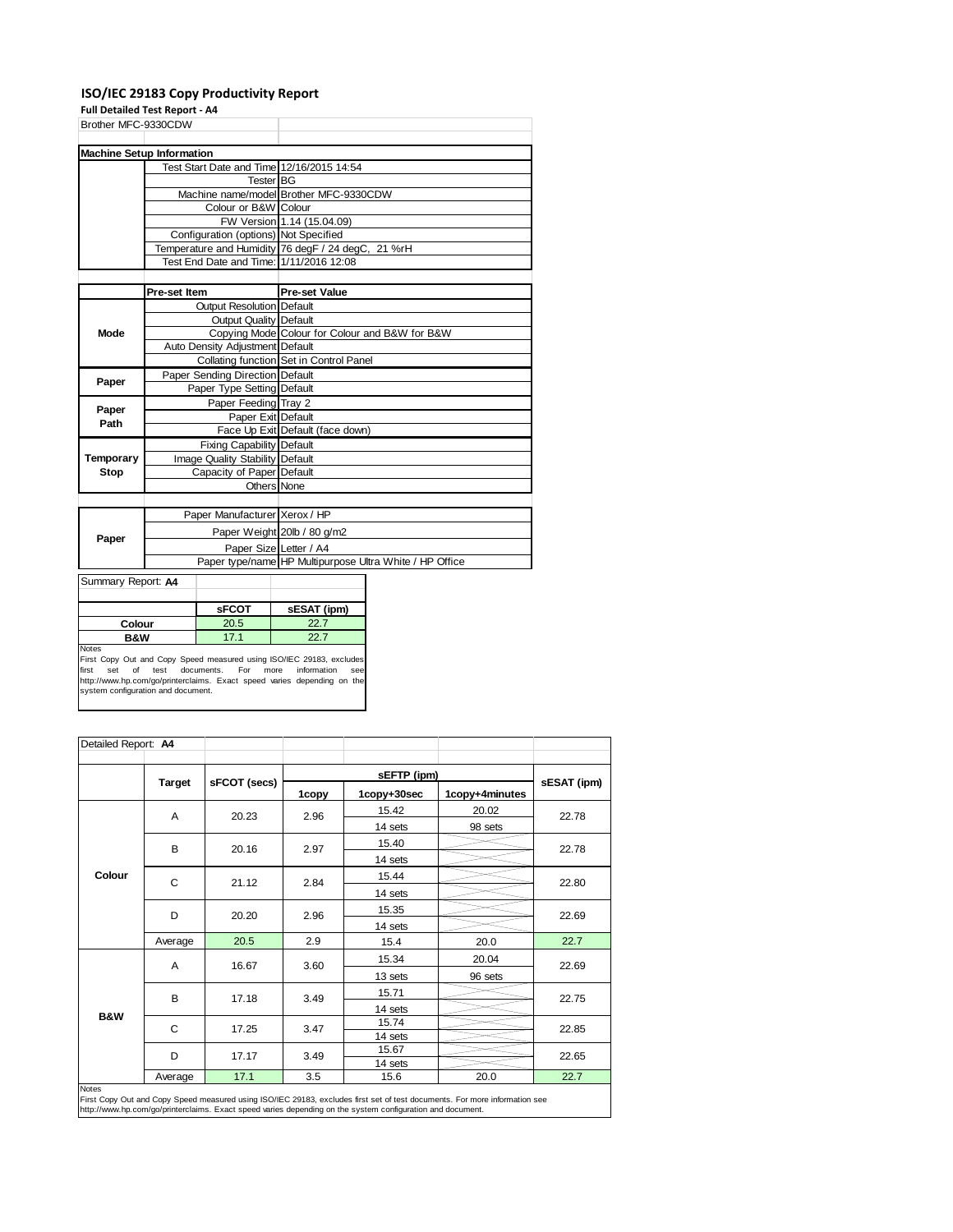#### **ISO/IEC 29183 Copy Productivity Report**

**Full Detailed Test Report ‐ A4**

| Brother MFC-9330CDW |                                           |                                                    |  |
|---------------------|-------------------------------------------|----------------------------------------------------|--|
|                     |                                           |                                                    |  |
|                     | <b>Machine Setup Information</b>          |                                                    |  |
|                     | Test Start Date and Time 12/16/2015 14:54 |                                                    |  |
|                     | Tester BG                                 |                                                    |  |
|                     |                                           | Machine name/model Brother MFC-9330CDW             |  |
|                     | Colour or B&W Colour                      |                                                    |  |
|                     |                                           | FW Version 1.14 (15.04.09)                         |  |
|                     | Configuration (options) Not Specified     |                                                    |  |
|                     |                                           | Temperature and Humidity 76 degF / 24 degC, 21 %rH |  |
|                     | Test End Date and Time: 1/11/2016 12:08   |                                                    |  |
|                     |                                           |                                                    |  |
|                     | Pre-set Item                              | <b>Pre-set Value</b>                               |  |
|                     | <b>Output Resolution Default</b>          |                                                    |  |
|                     | <b>Output Quality Default</b>             |                                                    |  |
| Mode                |                                           | Copying Mode Colour for Colour and B&W for B&W     |  |
|                     | Auto Density Adjustment Default           |                                                    |  |
|                     |                                           |                                                    |  |
|                     |                                           | Collating function Set in Control Panel            |  |
|                     | Paper Sending Direction Default           |                                                    |  |
| Paper               | Paper Type Setting Default                |                                                    |  |
|                     | Paper Feeding Tray 2                      |                                                    |  |
| Paper<br>Path       | Paper Exit Default                        | Face Up Exit Default (face down)                   |  |

| .         |                                  | Face Up Exit Default (face down)                        |
|-----------|----------------------------------|---------------------------------------------------------|
|           | <b>Fixing Capability Default</b> |                                                         |
| Temporary | Image Quality Stability Default  |                                                         |
| Stop      | Capacity of Paper Default        |                                                         |
|           | Others None                      |                                                         |
|           |                                  |                                                         |
|           | Paper Manufacturer Xerox / HP    |                                                         |
| Paper     |                                  | Paper Weight 20lb / 80 g/m2                             |
|           | Paper Size Letter / A4           |                                                         |
|           |                                  | Paper type/name HP Multipurpose Ultra White / HP Office |

Summary Report: **A4** sFCOT SESAT (ipm) **Colour 20.5 22.7<br>
<b>B&W** 17.1 22.7 **B&W** 

Notes First Copy Out and Copy Speed measured using ISO/IEC 29183, excludes<br>first set of test documents. For more information see<br>http://www.hp.com/go/printerclaims. Exact speed varies depending on the<br>system.configuration.and.do

|                |               | sFCOT (secs) |       | sEFTP (ipm) |                |             |
|----------------|---------------|--------------|-------|-------------|----------------|-------------|
|                | <b>Target</b> |              | 1copy | 1copy+30sec | 1copy+4minutes | sESAT (ipm) |
|                | A             | 20.23        | 2.96  | 15.42       | 20.02          | 22.78       |
|                |               |              |       | 14 sets     | 98 sets        |             |
|                | B             | 20.16        | 2.97  | 15.40       |                | 22.78       |
|                |               |              |       | 14 sets     |                |             |
| Colour         |               |              |       | 15.44       |                | 22.80       |
|                | C             | 21.12        | 2.84  | 14 sets     |                |             |
|                |               | 20.20        | 2.96  | 15.35       |                | 22.69       |
|                | D             |              |       | 14 sets     |                |             |
|                | Average       | 20.5         | 2.9   | 15.4        | 20.0           | 22.7        |
|                |               | 16.67        | 3.60  | 15.34       | 20.04          | 22.69       |
|                | Α             |              |       | 13 sets     | 96 sets        |             |
|                | B             |              | 3.49  | 15.71       |                | 22.75       |
|                |               | 17.18        |       | 14 sets     |                |             |
| <b>B&amp;W</b> | C             | 17.25        | 3.47  | 15.74       |                | 22.85       |
|                |               |              |       | 14 sets     |                |             |
|                | D             | 17.17        | 3.49  | 15.67       |                | 22.65       |
|                |               |              |       | 14 sets     |                |             |
| <b>Notes</b>   | Average       | 17.1         | 3.5   | 15.6        | 20.0           | 22.7        |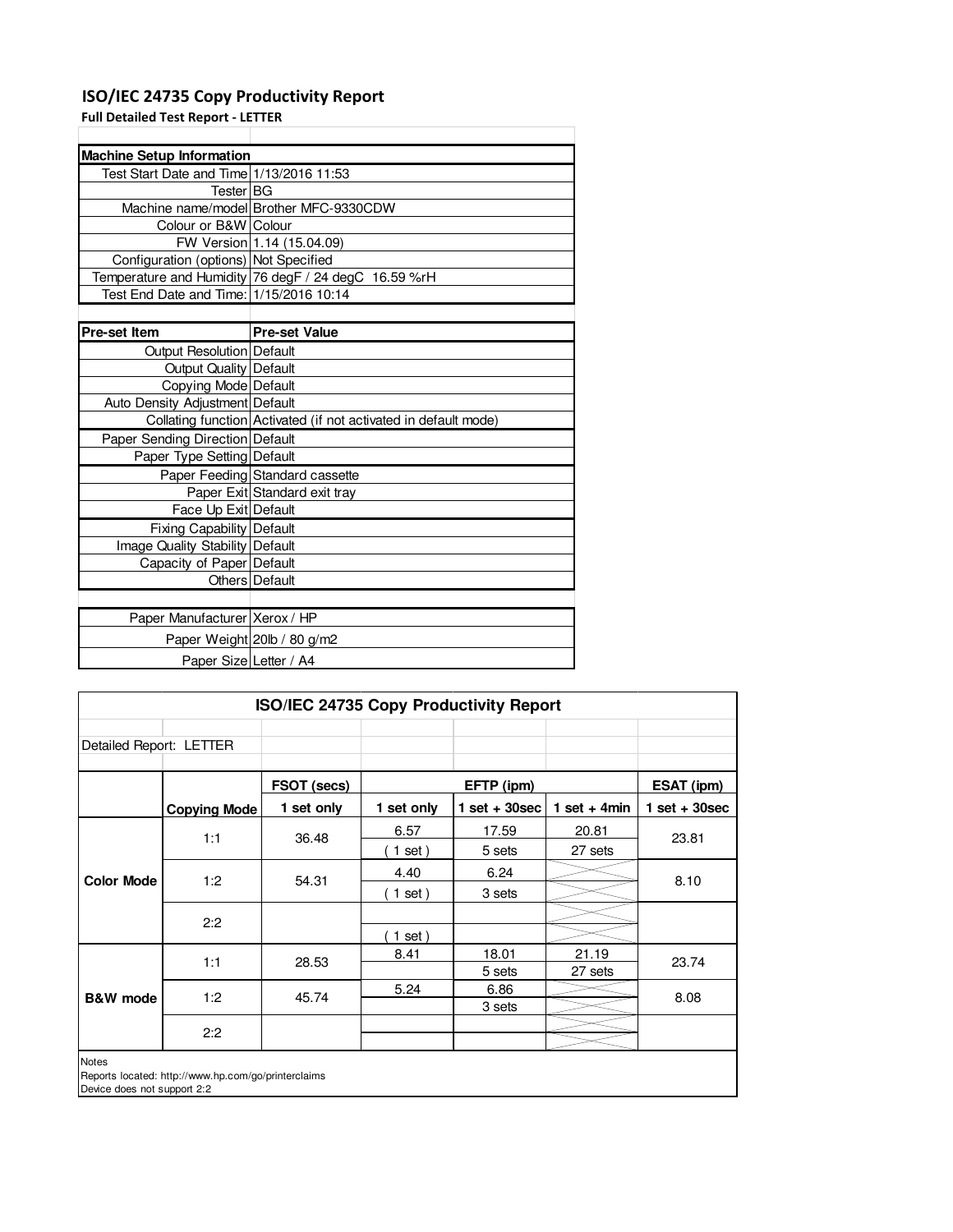### **ISO/IEC 24735 Copy Productivity Report**

**Full Detailed Test Report - LETTER**

| <b>Machine Setup Information</b>         |                                                                 |
|------------------------------------------|-----------------------------------------------------------------|
| Test Start Date and Time 1/13/2016 11:53 |                                                                 |
| <b>Tester BG</b>                         |                                                                 |
|                                          | Machine name/model Brother MFC-9330CDW                          |
| Colour or B&W Colour                     |                                                                 |
|                                          | FW Version 1.14 (15.04.09)                                      |
| Configuration (options) Not Specified    |                                                                 |
|                                          | Temperature and Humidity 76 degF / 24 degC 16.59 %rH            |
| Test End Date and Time: 1/15/2016 10:14  |                                                                 |
|                                          |                                                                 |
| <b>Pre-set Item</b>                      | <b>Pre-set Value</b>                                            |
| Output Resolution Default                |                                                                 |
| Output Quality   Default                 |                                                                 |
| Copying Mode Default                     |                                                                 |
| Auto Density Adjustment Default          |                                                                 |
|                                          | Collating function Activated (if not activated in default mode) |
| Paper Sending Direction Default          |                                                                 |
| Paper Type Setting Default               |                                                                 |
|                                          | Paper Feeding Standard cassette                                 |
|                                          | Paper Exit Standard exit tray                                   |
| Face Up Exit Default                     |                                                                 |
| Fixing Capability Default                |                                                                 |
| Image Quality Stability Default          |                                                                 |
| Capacity of Paper Default                |                                                                 |
|                                          | Others Default                                                  |
|                                          |                                                                 |
| Paper Manufacturer Xerox / HP            |                                                                 |
|                                          | Paper Weight 20lb / 80 g/m2                                     |
| Paper Size Letter / A4                   |                                                                 |

| ISO/IEC 24735 Copy Productivity Report |                     |             |            |                 |                |                   |  |
|----------------------------------------|---------------------|-------------|------------|-----------------|----------------|-------------------|--|
| Detailed Report: LETTER                |                     |             |            |                 |                |                   |  |
|                                        |                     | FSOT (secs) |            | EFTP (ipm)      |                | <b>ESAT (ipm)</b> |  |
|                                        | <b>Copying Mode</b> | 1 set only  | 1 set only | $1$ set + 30sec | 1 set + $4min$ | $1$ set + 30sec   |  |
|                                        | 1:1                 | 36.48       | 6.57       | 17.59           | 20.81          | 23.81             |  |
|                                        |                     |             | $1$ set)   | 5 sets          | 27 sets        |                   |  |
| <b>Color Mode</b>                      |                     | 54.31       | 4.40       | 6.24            |                | 8.10              |  |
|                                        | 1:2                 |             | $1$ set)   | 3 sets          |                |                   |  |
|                                        | 2:2                 |             |            |                 |                |                   |  |
|                                        |                     |             | $1$ set)   |                 |                |                   |  |
|                                        | 1:1                 | 28.53       | 8.41       | 18.01           | 21.19          | 23.74             |  |
|                                        |                     |             |            | 5 sets          | 27 sets        |                   |  |
| B&W mode                               | 1:2                 | 45.74       | 5.24       | 6.86            |                | 8.08              |  |
|                                        |                     |             |            | 3 sets          |                |                   |  |
|                                        | 2:2                 |             |            |                 |                |                   |  |
|                                        |                     |             |            |                 |                |                   |  |

Device does not support 2:2